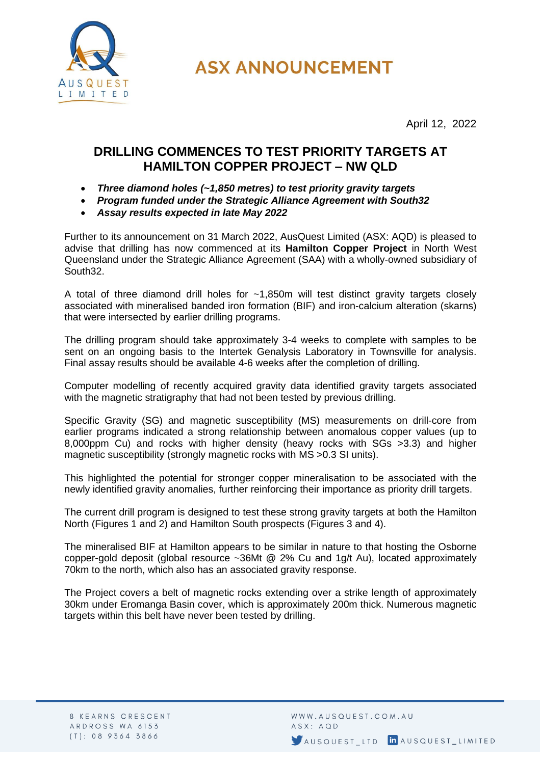

**ASX ANNOUNCEMENT** 

April 12, 2022

## **DRILLING COMMENCES TO TEST PRIORITY TARGETS AT HAMILTON COPPER PROJECT – NW QLD**

- *Three diamond holes (~1,850 metres) to test priority gravity targets*
- *Program funded under the Strategic Alliance Agreement with South32*
- *Assay results expected in late May 2022*

Further to its announcement on 31 March 2022, AusQuest Limited (ASX: AQD) is pleased to advise that drilling has now commenced at its **Hamilton Copper Project** in North West Queensland under the Strategic Alliance Agreement (SAA) with a wholly-owned subsidiary of South32.

A total of three diamond drill holes for ~1,850m will test distinct gravity targets closely associated with mineralised banded iron formation (BIF) and iron-calcium alteration (skarns) that were intersected by earlier drilling programs.

The drilling program should take approximately 3-4 weeks to complete with samples to be sent on an ongoing basis to the Intertek Genalysis Laboratory in Townsville for analysis. Final assay results should be available 4-6 weeks after the completion of drilling.

Computer modelling of recently acquired gravity data identified gravity targets associated with the magnetic stratigraphy that had not been tested by previous drilling.

Specific Gravity (SG) and magnetic susceptibility (MS) measurements on drill-core from earlier programs indicated a strong relationship between anomalous copper values (up to 8,000ppm Cu) and rocks with higher density (heavy rocks with SGs >3.3) and higher magnetic susceptibility (strongly magnetic rocks with MS >0.3 SI units).

This highlighted the potential for stronger copper mineralisation to be associated with the newly identified gravity anomalies, further reinforcing their importance as priority drill targets.

The current drill program is designed to test these strong gravity targets at both the Hamilton North (Figures 1 and 2) and Hamilton South prospects (Figures 3 and 4).

The mineralised BIF at Hamilton appears to be similar in nature to that hosting the Osborne copper-gold deposit (global resource ~36Mt @ 2% Cu and 1g/t Au), located approximately 70km to the north, which also has an associated gravity response.

The Project covers a belt of magnetic rocks extending over a strike length of approximately 30km under Eromanga Basin cover, which is approximately 200m thick. Numerous magnetic targets within this belt have never been tested by drilling.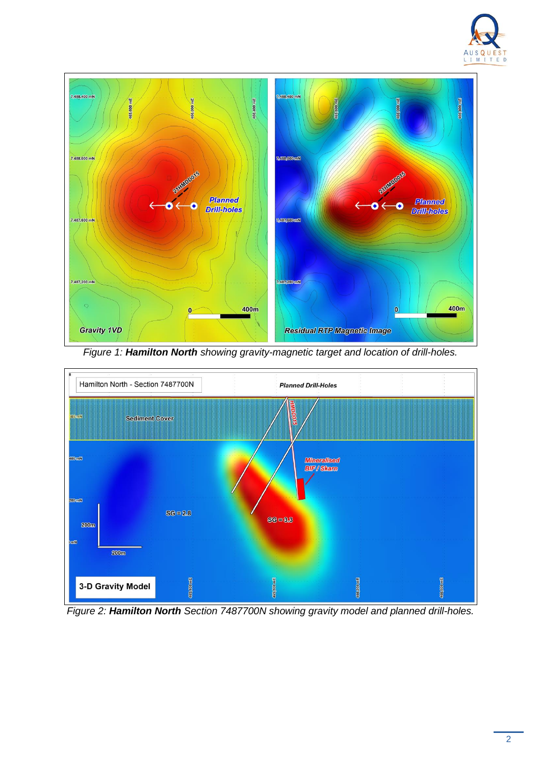



*Figure 1: Hamilton North showing gravity-magnetic target and location of drill-holes.*



*Figure 2: Hamilton North Section 7487700N showing gravity model and planned drill-holes.*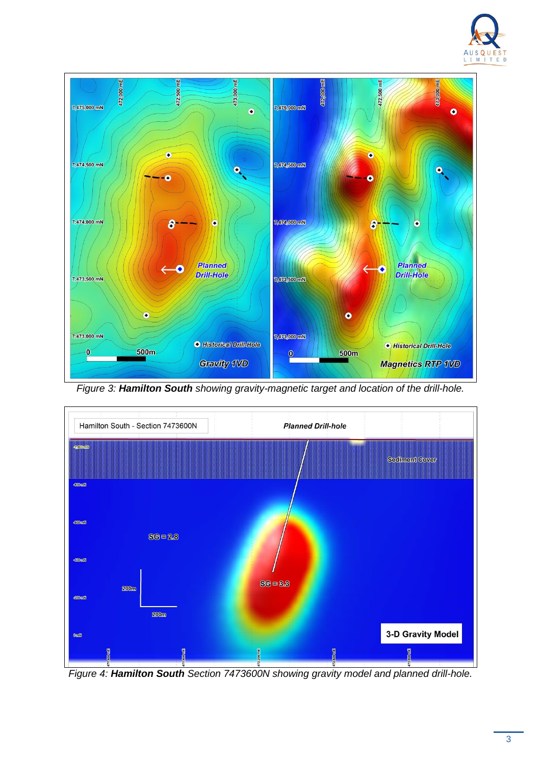



*Figure 3: Hamilton South showing gravity-magnetic target and location of the drill-hole.*



*Figure 4: Hamilton South Section 7473600N showing gravity model and planned drill-hole.*